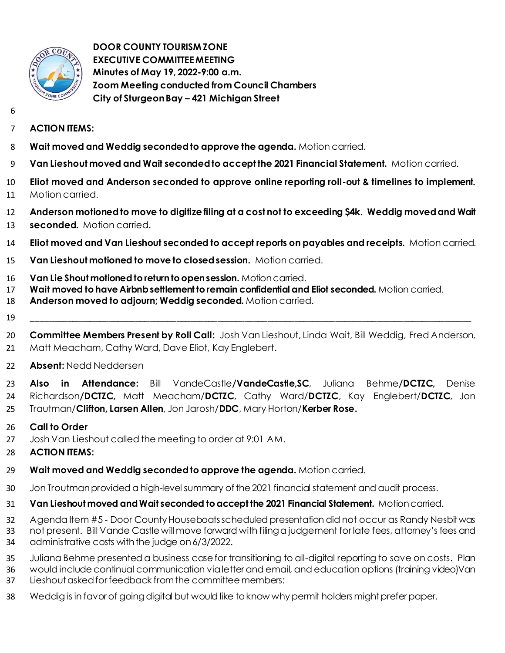

 **DOOR COUNTY TOURISM ZONE EXECUTIVE COMMITTEE MEETING Minutes of May 19, 2022-9:00 a.m. Zoom Meeting conducted from Council Chambers City of Sturgeon Bay – 421 Michigan Street**

- 
- **ACTION ITEMS:**
- **Wait moved and Weddig seconded to approve the agenda.** Motion carried.
- **Van Lieshout moved and Wait seconded to accept the 2021 Financial Statement.** Motion carried.
- **Eliot moved and Anderson seconded to approve online reporting roll-out & timelines to implement.**  Motion carried.
- **Anderson motioned to move to digitize filing at a cost not to exceeding \$4k. Weddig moved and Wait**
- **seconded.** Motion carried.
- **Eliot moved and Van Lieshout seconded to accept reports on payables and receipts.** Motion carried.
- **Van Lieshout motioned to move to closed session.** Motion carried.
- **Van Lie Shout motioned to return to open session.** Motion carried.
- **Wait moved to have Airbnb settlement to remain confidential and Eliot seconded.** Motion carried.
- **Anderson moved to adjourn; Weddig seconded.** Motion carried.
- \_\_\_\_\_\_\_\_\_\_\_\_\_\_\_\_\_\_\_\_\_\_\_\_\_\_\_\_\_\_\_\_\_\_\_\_\_\_\_\_\_\_\_\_\_\_\_\_\_\_\_\_\_\_\_\_\_\_\_\_\_\_\_\_\_\_\_\_\_\_\_\_\_\_\_\_\_\_\_\_\_\_\_\_\_\_\_\_\_\_\_\_\_\_\_\_\_
- **Committee Members Present by Roll Call:** Josh Van Lieshout, Linda Wait, Bill Weddig, Fred Anderson,
- Matt Meacham, Cathy Ward, Dave Eliot, Kay Englebert.
- **Absent:** Nedd Neddersen
- **Also in Attendance:** Bill VandeCastle**/VandeCastle,SC**, Juliana Behme**/DCTZC,** Denise Richardson**/DCTZC,** Matt Meacham/**DCTZC**, Cathy Ward/**DCTZC**, Kay Englebert/**DCTZC**, Jon Trautman/**Clifton, Larsen Allen**, Jon Jarosh/**DDC**, Mary Horton/**Kerber Rose.**
- **Call to Order**
- Josh Van Lieshout called the meeting to order at 9:01 AM.
- **ACTION ITEMS:**
- **Wait moved and Weddig seconded to approve the agenda.** Motion carried.
- Jon Troutman provided a high-level summary of the 2021 financial statement and audit process.
- **Van Lieshout moved and Wait seconded to accept the 2021 Financial Statement.** Motion carried.
- Agenda Item #5 Door County Houseboats scheduled presentation did not occur as Randy Nesbit was
- not present. Bill Vande Castle willmove forward with filing a judgement for late fees, attorney's fees and administrative costs with the judge on 6/3/2022.
- Juliana Behme presented a business case for transitioning to all-digital reporting to save on costs. Plan
- would include continual communication via letter and email, and education options (training video)Van Lieshout asked for feedback from the committee members:
- Weddig is in favor of going digital but would like to know why permit holders might prefer paper.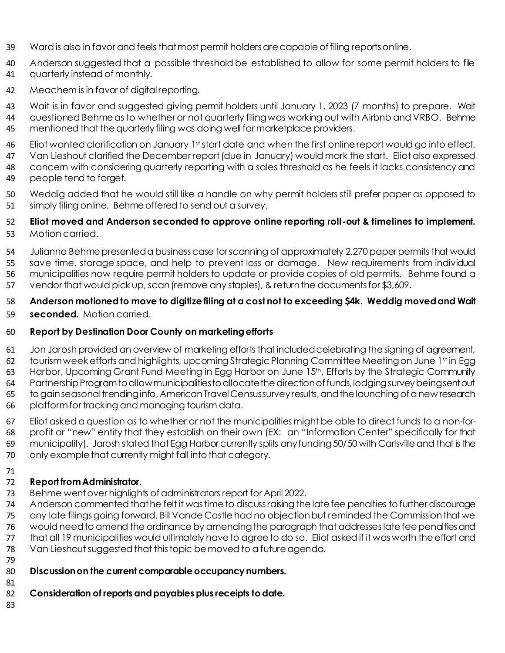- Ward is also in favor and feels that most permit holders are capable of filing reports online.
- Anderson suggested that a possible threshold be established to allow for some permit holders to file quarterly instead of monthly.
- Meachem is in favor of digital reporting.

 Wait is in favor and suggested giving permit holders until January 1, 2023 (7 months) to prepare. Wait questioned Behme as to whether or not quarterly filing was working out with Airbnb and VRBO. Behme

- mentioned that the quarterly filing was doing well for marketplace providers.
- 46 Eliot wanted clarification on January 1st start date and when the first online report would go into effect. Van Lieshout clarified the December report (due in January) would mark the start. Eliot also expressed concern with considering quarterly reporting with a sales threshold as he feels it lacks consistency and
- people tend to forget.
- Weddig added that he would still like a handle on why permit holders still prefer paper as opposed to simply filing online. Behme offered to send out a survey.

## **Eliot moved and Anderson seconded to approve online reporting roll-out & timelines to implement.**

- Motion carried.
- Julianna Behme presented a business case for scanning of approximately 2,270 paper permits that would save time, storage space, and help to prevent loss or damage. New requirements from individual municipalities now require permit holders to update or provide copies of old permits. Behme found a vendor that would pick up, scan (remove any staples), & return the documents for \$3,609.

## **Anderson motioned to move to digitize filing at a cost not to exceeding \$4k. Weddig moved and Wait**

**seconded.** Motion carried.

## **Report by Destination Door County on marketing efforts**

- Jon Jarosh provided an overview of marketing efforts that included celebrating the signing of agreement, 62 tourism week efforts and highlights, upcoming Strategic Planning Committee Meeting on June 1st in Egg 63 Harbor, Upcoming Grant Fund Meeting in Egg Harbor on June 15<sup>th</sup>, Efforts by the Strategic Community Partnership Program to allow municipalities to allocate the direction of funds, lodging survey being sent out
- to gain seasonal trending info, American Travel Census survey results, and the launching of a new research platform for tracking and managing tourism data.
- Eliot asked a question as to whether or not the municipalities might be able to direct funds to a non-for-profit or "new" entity that they establish on their own (EX: an "Information Center" specifically for that
- municipality). Jarosh stated that Egg Harbor currently splits any funding 50/50 with Carlsville and that is the
- only example that currently might fall into that category.
- 

## **Report from Administrator.**

- Behme went over highlights of administrators report for April2022.
- Anderson commented that he felt it was time to discuss raising the late fee penalties to further discourage any late filings going forward. Bill Vande Castle had no objection but reminded the Commissionthat we 76 would need to amend the ordinance by amending the paragraph that addresses late fee penalties and that all 19 municipalities would ultimately have to agree to do so. Eliot asked if it was worth the effort and Van Lieshout suggested that this topic be moved to a future agenda.
- 
- **Discussion on the current comparable occupancy numbers.**
- **Consideration of reports and payables plus receipts to date.**
-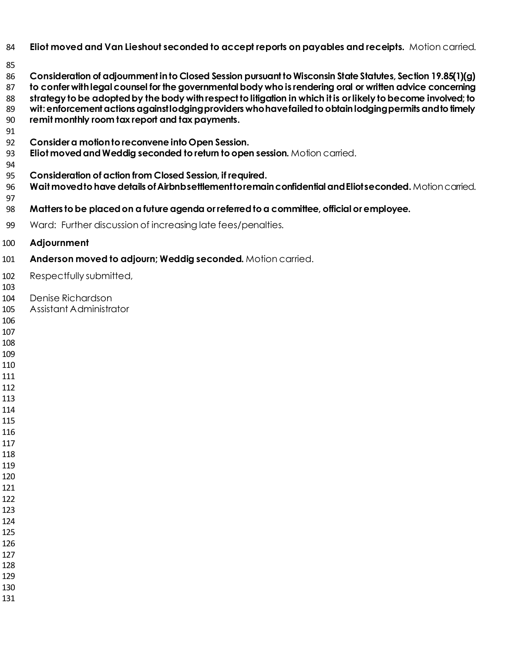- **Eliot moved and Van Lieshout seconded to accept reports on payables and receipts.** Motion carried.
- 
- **Consideration of adjournment in to Closed Session pursuant to Wisconsin State Statutes, Section 19.85(1)(g) to confer with legal counsel for the governmental body who is rendering oral or written advice concerning**
- **strategy to be adopted by the body with respect to litigation in which it is or likely to become involved; to wit: enforcement actions against lodging providers who have failed to obtain lodging permits and to timely remit monthly room tax report and tax payments.**
- 
- **Consider a motion to reconvene into Open Session.**
- **Eliot moved andWeddig seconded to return to open session.** Motion carried.
- 
- **Consideration of action from Closed Session, if required.**
- **Wait moved to have details ofAirbnb settlement to remain confidential and Eliot seconded.** Motion carried.
- **Matters to be placed on a future agenda or referred to a committee, official or employee.**
- Ward: Further discussion of increasing late fees/penalties.
- **Adjournment**
- **Anderson moved to adjourn; Weddig seconded.** Motion carried.
- Respectfully submitted,
- 
- Denise Richardson
- Assistant Administrator
- 
- 
- 
- 
- 
- 
- 
- 
- 
- 
- 
- 
- 
- 
- 
- 
- 
- 
- 
- 
- 
-